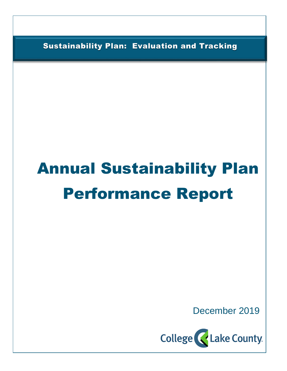**Sustainability Plan: Evaluation and Tracking** 

# Annual Sustainability Plan Performance Report

December 2019

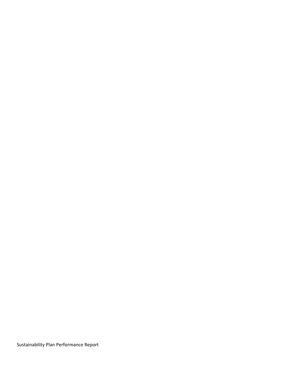Sustainability Plan Performance Report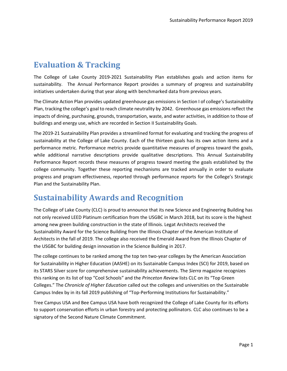# **Evaluation & Tracking**

The College of Lake County 2019-2021 Sustainability Plan establishes goals and action items for sustainability. The Annual Performance Report provides a summary of progress and sustainability initiatives undertaken during that year along with benchmarked data from previous years.

The Climate Action Plan provides updated greenhouse gas emissions in Section I of college's Sustainability Plan, tracking the college's goal to reach climate neutrality by 2042. Greenhouse gas emissions reflect the impacts of dining, purchasing, grounds, transportation, waste, and water activities, in addition to those of buildings and energy use, which are recorded in Section II Sustainability Goals.

The 2019-21 Sustainability Plan provides a streamlined format for evaluating and tracking the progress of sustainability at the College of Lake County. Each of the thirteen goals has its own action items and a performance metric. Performance metrics provide quantitative measures of progress toward the goals, while additional narrative descriptions provide qualitative descriptions. This Annual Sustainability Performance Report records these measures of progress toward meeting the goals established by the college community. Together these reporting mechanisms are tracked annually in order to evaluate progress and program effectiveness, reported through performance reports for the College's Strategic Plan and the Sustainability Plan.

# **Sustainability Awards and Recognition**

The College of Lake County (CLC) is proud to announce that its new Science and Engineering Building has not only received LEED Platinum certification from the USGBC in March 2018, but its score is the highest among new green building construction in the state of Illinois. Legat Architects received the Sustainability Award for the Science Building from the Illinois Chapter of the American Institute of Architects in the fall of 2019. The college also received the Emerald Award from the Illinois Chapter of the USGBC for building design innovation in the Science Building in 2017.

The college continues to be ranked among the top ten two-year colleges by the American Association for Sustainability in Higher Education (AASHE) on its Sustainable Campus Index (SCI) for 2019, based on its STARS Silver score for comprehensive sustainability achievements. The *Sierra* magazine recognizes this ranking on its list of top "Cool Schools" and the *Princeton Review* lists CLC on its "Top Green Colleges." The *Chronicle of Higher Education* called out the colleges and universities on the Sustainable Campus Index by in its fall 2019 publishing of "Top-Performing Institutions for Sustainability."

Tree Campus USA and Bee Campus USA have both recognized the College of Lake County for its efforts to support conservation efforts in urban forestry and protecting pollinators. CLC also continues to be a signatory of the Second Nature Climate Commitment.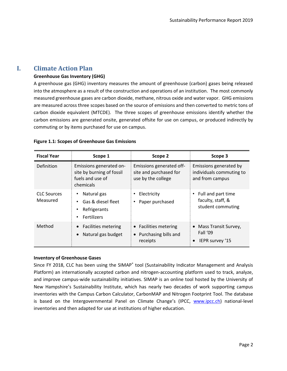# **I. Climate Action Plan**

#### **Greenhouse Gas Inventory (GHG)**

A greenhouse gas (GHG) inventory measures the amount of greenhouse (carbon) gases being released into the atmosphere as a result of the construction and operations of an institution. The most commonly measured greenhouse gases are carbon dioxide, methane, nitrous oxide and water vapor. GHG emissions are measured across three scopes based on the source of emissions and then converted to metric tons of carbon dioxide equivalent (MTCDE). The three scopes of greenhouse emissions identify whether the carbon emissions are generated onsite, generated offsite for use on campus, or produced indirectly by commuting or by items purchased for use on campus.

| <b>Fiscal Year</b>             | Scope 1                                                                               | Scope 2                                                                  | Scope 3                                                               |
|--------------------------------|---------------------------------------------------------------------------------------|--------------------------------------------------------------------------|-----------------------------------------------------------------------|
| Definition                     | Emissions generated on-<br>site by burning of fossil<br>fuels and use of<br>chemicals | Emissions generated off-<br>site and purchased for<br>use by the college | Emissions generated by<br>individuals commuting to<br>and from campus |
| <b>CLC Sources</b><br>Measured | Natural gas<br>Gas & diesel fleet<br>Refrigerants<br><b>Fertilizers</b>               | Electricity<br>Paper purchased                                           | Full and part time<br>faculty, staff, &<br>student commuting          |
| Method                         | <b>Facilities metering</b><br>Natural gas budget                                      | • Facilities metering<br>• Purchasing bills and<br>receipts              | Mass Transit Survey,<br>Fall '09<br>IEPR survey '15                   |

#### **Figure 1.1: Scopes of Greenhouse Gas Emissions**

#### **Inventory of Greenhouse Gases**

Since FY 2018, CLC has been using the SIMAP® tool (Sustainability Indicator Management and Analysis Platform) an internationally accepted carbon and nitrogen-accounting platform used to track, analyze, and improve campus-wide sustainability initiatives. SIMAP is an online tool hosted by the University of New Hampshire's Sustainability Institute, which has nearly two decades of work supporting campus inventories with the Campus Carbon Calculator, CarbonMAP and Nitrogen Footprint Tool. The database is based on the Intergovernmental Panel on Climate Change's (IPCC, [www.ipcc.ch\)](http://www.ipcc.ch/) national-level inventories and then adapted for use at institutions of higher education.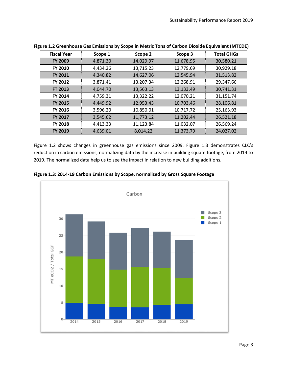| <b>Fiscal Year</b> | Scope 1  | Scope 2   | Scope 3   | <b>Total GHGs</b> |
|--------------------|----------|-----------|-----------|-------------------|
| <b>FY 2009</b>     | 4,871.30 | 14,029.97 | 11,678.95 | 30,580.21         |
| FY 2010            | 4,434.26 | 13,715.23 | 12,779.69 | 30,929.18         |
| <b>FY 2011</b>     | 4,340.82 | 14,627.06 | 12,545.94 | 31,513.82         |
| FY 2012            | 3,871.41 | 13,207.34 | 12,268.91 | 29,347.66         |
| <b>FT 2013</b>     | 4,044.70 | 13,563.13 | 13,133.49 | 30,741.31         |
| FY 2014            | 4,759.31 | 13,322.22 | 12,070.21 | 31,151.74         |
| <b>FY 2015</b>     | 4,449.92 | 12,953.43 | 10,703.46 | 28,106.81         |
| FY 2016            | 3,596.20 | 10,850.01 | 10,717.72 | 25,163.93         |
| FY 2017            | 3,545.62 | 11,773.12 | 11,202.44 | 26,521.18         |
| <b>FY 2018</b>     | 4,413.33 | 11,123.84 | 11,032.07 | 26,569.24         |
| <b>FY 2019</b>     | 4,639.01 | 8,014.22  | 11,373.79 | 24,027.02         |

**Figure 1.2 Greenhouse Gas Emissions by Scope in Metric Tons of Carbon Dioxide Equivalent (MTCDE)**

Figure 1.2 shows changes in greenhouse gas emissions since 2009. Figure 1.3 demonstrates CLC's reduction in carbon emissions, normalizing data by the increase in building square footage, from 2014 to 2019. The normalized data help us to see the impact in relation to new building additions.



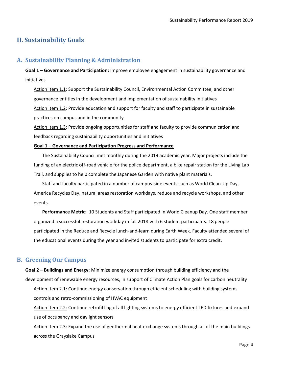## **II. Sustainability Goals**

### **A. Sustainability Planning & Administration**

**Goal 1 – Governance and Participation:** Improve employee engagement in sustainability governance and initiatives

Action Item 1.1: Support the Sustainability Council, Environmental Action Committee, and other governance entities in the development and implementation of sustainability initiatives Action Item 1.2: Provide education and support for faculty and staff to participate in sustainable practices on campus and in the community

Action Item 1.3: Provide ongoing opportunities for staff and faculty to provide communication and feedback regarding sustainability opportunities and initiatives

#### **Goal 1 – Governance and Participation Progress and Performance**

The Sustainability Council met monthly during the 2019 academic year. Major projects include the funding of an electric off-road vehicle for the police department, a bike repair station for the Living Lab Trail, and supplies to help complete the Japanese Garden with native plant materials.

Staff and faculty participated in a number of campus-side events such as World Clean-Up Day, America Recycles Day, natural areas restoration workdays, reduce and recycle workshops, and other events.

**Performance Metric:** 10 Students and Staff participated in World Cleanup Day. One staff member organized a successful restoration workday in fall 2018 with 6 student participants. 18 people participated in the Reduce and Recycle lunch-and-learn during Earth Week. Faculty attended several of the educational events during the year and invited students to participate for extra credit.

#### **B. Greening Our Campus**

**Goal 2 – Buildings and Energy:** Minimize energy consumption through building efficiency and the development of renewable energy resources, in support of Climate Action Plan goals for carbon neutrality

Action Item 2.1: Continue energy conservation through efficient scheduling with building systems controls and retro-commissioning of HVAC equipment

Action Item 2.2: Continue retrofitting of all lighting systems to energy efficient LED fixtures and expand use of occupancy and daylight sensors

Action Item 2.3: Expand the use of geothermal heat exchange systems through all of the main buildings across the Grayslake Campus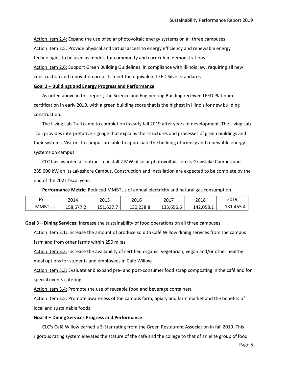Action Item 2.4: Expand the use of solar photovoltaic energy systems on all three campuses Action Item 2.5: Provide physical and virtual access to energy efficiency and renewable energy technologies to be used as models for community and curriculum demonstrations Action Item 2.6: Support Green Building Guidelines, in compliance with Illinois law, requiring all new construction and renovation projects meet the equivalent LEED Silver standards

#### **Goal 2 – Buildings and Energy Progress and Performance**

As noted above in this report, the Science and Engineering Building received LEED Platinum certification in early 2019, with a green building score that is the highest in Illinois for new building construction.

The Living Lab Trail came to completion in early fall 2019 after years of development. The Living Lab Trail provides interpretative signage that explains the structures and processes of green buildings and their systems. Visitors to campus are able to appreciate the building efficiency and renewable energy systems on campus.

CLC has awarded a contract to install 2 MW of solar photovoltaics on its Grayslake Campus and 285,000 kW on its Lakeshore Campus. Construction and installation are expected to be complete by the end of the 2021 fiscal year.

**Performance Metric:** Reduced MMBTUs of annual electricity and natural gas consumption.

| гv            | 2014            | 2015                    | 2016      | 2017      | 2018      | 2019      |
|---------------|-----------------|-------------------------|-----------|-----------|-----------|-----------|
| <b>MMBTUs</b> | 158,67<br>. . 2 | ---<br>15.<br>151.627.7 | 130,238.8 | 133,656.6 | 142,058.1 | 131,455.4 |

**Goal 3 – Dining Services:** Increase the sustainability of food operations on all three campuses

Action Item 3.1**:** Increase the amount of produce sold to Café Willow dining services from the campus farm and from other farms within 250 miles

Action Item 3.2: Increase the availability of certified organic, vegetarian, vegan and/or other healthy meal options for students and employees in Café Willow

Action Item 3.3: Evaluate and expand pre- and post-consumer food scrap composting in the café and for special events catering

Action Item 3.4: Promote the use of reusable food and beverage containers

Action Item 3.5: Promote awareness of the campus farm, apiary and farm market and the benefits of local and sustainable foods

#### **Goal 3 – Dining Services Progress and Performance**

CLC's Café Willow earned a 3-Star rating from the Green Restaurant Association in fall 2019. This rigorous rating system elevates the stature of the café and the college to that of an elite group of food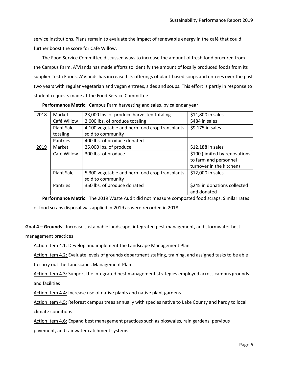service institutions. Plans remain to evaluate the impact of renewable energy in the café that could further boost the score for Café Willow.

The Food Service Committee discussed ways to increase the amount of fresh food procured from the Campus Farm. A'Viands has made efforts to identify the amount of locally produced foods from its supplier Testa Foods. A'Viands has increased its offerings of plant-based soups and entrees over the past two years with regular vegetarian and vegan entrees, sides and soups. This effort is partly in response to student requests made at the Food Service Committee.

**Performance Metric**: Campus Farm harvesting and sales, by calendar year

| 2018 | Market            | 23,000 lbs. of produce harvested totaling      | \$11,800 in sales             |
|------|-------------------|------------------------------------------------|-------------------------------|
|      | Café Willow       | 2,000 lbs. of produce totaling                 | \$484 in sales                |
|      | <b>Plant Sale</b> | 4,100 vegetable and herb food crop transplants | \$9,175 in sales              |
|      | totaling          | sold to community                              |                               |
|      | Pantries          | 400 lbs. of produce donated                    |                               |
| 2019 | Market            | 25,000 lbs. of produce                         | \$12,188 in sales             |
|      | Café Willow       | 300 lbs. of produce                            | \$100 (limited by renovations |
|      |                   |                                                | to farm and personnel         |
|      |                   |                                                | turnover in the kitchen)      |
|      | Plant Sale        | 5,300 vegetable and herb food crop transplants | \$12,000 in sales             |
|      |                   | sold to community                              |                               |
|      | Pantries          | 350 lbs. of produce donated                    | \$245 in donations collected  |
|      |                   |                                                | and donated                   |

**Performance Metric**: The 2019 Waste Audit did not measure composted food scraps. Similar rates of food scraps disposal was applied in 2019 as were recorded in 2018.

**Goal 4 – Grounds**: Increase sustainable landscape, integrated pest management, and stormwater best

management practices

Action Item 4.1: Develop and implement the Landscape Management Plan

Action Item 4.2: Evaluate levels of grounds department staffing, training, and assigned tasks to be able

to carry out the Landscapes Management Plan

Action Item 4.3: Support the integrated pest management strategies employed across campus grounds and facilities

Action Item 4.4: Increase use of native plants and native plant gardens

Action Item 4.5: Reforest campus trees annually with species native to Lake County and hardy to local climate conditions

Action Item 4.6: Expand best management practices such as bioswales, rain gardens, pervious

pavement, and rainwater catchment systems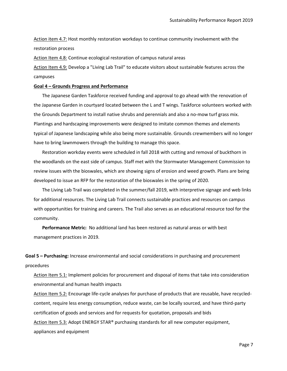Action item 4.7: Host monthly restoration workdays to continue community involvement with the restoration process

Action Item 4.8: Continue ecological restoration of campus natural areas

Action Item 4.9: Develop a "Living Lab Trail" to educate visitors about sustainable features across the campuses

#### **Goal 4 – Grounds Progress and Performance**

The Japanese Garden Taskforce received funding and approval to go ahead with the renovation of the Japanese Garden in courtyard located between the L and T wings. Taskforce volunteers worked with the Grounds Department to install native shrubs and perennials and also a no-mow turf grass mix. Plantings and hardscaping improvements were designed to imitate common themes and elements typical of Japanese landscaping while also being more sustainable. Grounds crewmembers will no longer have to bring lawnmowers through the building to manage this space.

Restoration workday events were scheduled in fall 2018 with cutting and removal of buckthorn in the woodlands on the east side of campus. Staff met with the Stormwater Management Commission to review issues with the bioswales, which are showing signs of erosion and weed growth. Plans are being developed to issue an RFP for the restoration of the bioswales in the spring of 2020.

The Living Lab Trail was completed in the summer/fall 2019, with interpretive signage and web links for additional resources. The Living Lab Trail connects sustainable practices and resources on campus with opportunities for training and careers. The Trail also serves as an educational resource tool for the community.

**Performance Metric:** No additional land has been restored as natural areas or with best management practices in 2019.

**Goal 5 – Purchasing:** Increase environmental and social considerations in purchasing and procurement procedures

Action Item 5.1: Implement policies for procurement and disposal of items that take into consideration environmental and human health impacts

Action Item 5.2: Encourage life-cycle analyses for purchase of products that are reusable, have recycledcontent, require less energy consumption, reduce waste, can be locally sourced, and have third-party certification of goods and services and for requests for quotation, proposals and bids Action Item 5.3: Adopt ENERGY STAR® purchasing standards for all new computer equipment, appliances and equipment

Page 7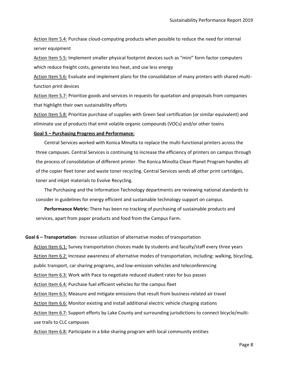Action Item 5.4: Purchase cloud-computing products when possible to reduce the need for internal server equipment

Action Item 5.5: Implement smaller physical footprint devices such as "mini" form factor computers which reduce freight costs, generate less heat, and use less energy

Action Item 5.6: Evaluate and implement plans for the consolidation of many printers with shared multifunction print devices

Action Item 5.7: Prioritize goods and services in requests for quotation and proposals from companies that highlight their own sustainability efforts

Action Item 5.8: Prioritize purchase of supplies with Green Seal certification (or similar equivalent) and eliminate use of products that emit volatile organic compounds (VOCs) and/or other toxins

#### **Goal 5 – Purchasing Progress and Performance:**

Central Services worked with Konica Minolta to replace the multi-functional printers across the three campuses. Central Services is continuing to increase the efficiency of printers on campus through the process of consolidation of different printer. The Konica Minolta Clean Planet Program handles all of the copier fleet toner and waste toner recycling. Central Services sends all other print cartridges, toner and inkjet materials to Evolve Recycling.

The Purchasing and the Information Technology departments are reviewing national standards to consider in guidelines for energy efficient and sustainable technology support on campus.

**Performance Metric:** There has been no tracking of purchasing of sustainable products and services, apart from paper products and food from the Campus Farm.

#### **Goal 6 – Transportation**: Increase utilization of alternative modes of transportation

Action Item 6.1: Survey transportation choices made by students and faculty/staff every three years

Action Item 6.2: Increase awareness of alternative modes of transportation, including: walking, bicycling,

public transport, car sharing programs, and low-emission vehicles and teleconferencing

Action Item 6.3: Work with Pace to negotiate reduced student rates for bus passes

Action Item 6.4: Purchase fuel efficient vehicles for the campus fleet

Action Item 6.5: Measure and mitigate emissions that result from business-related air travel

Action Item 6.6: Monitor existing and install additional electric vehicle charging stations

Action Item 6.7: Support efforts by Lake County and surrounding jurisdictions to connect bicycle/multi-

use trails to CLC campuses

Action Item 6.8: Participate in a bike sharing program with local community entities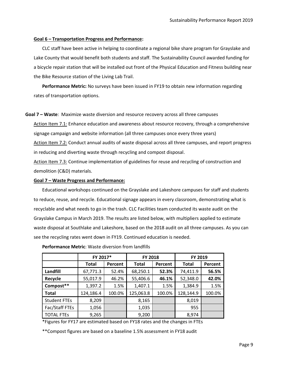#### **Goal 6 – Transportation Progress and Performance:**

CLC staff have been active in helping to coordinate a regional bike share program for Grayslake and Lake County that would benefit both students and staff. The Sustainability Council awarded funding for a bicycle repair station that will be installed out front of the Physical Education and Fitness building near the Bike Resource station of the Living Lab Trail.

**Performance Metric:** No surveys have been issued in FY19 to obtain new information regarding rates of transportation options.

#### **Goal 7 – Waste**: Maximize waste diversion and resource recovery across all three campuses

Action Item 7.1: Enhance education and awareness about resource recovery, through a comprehensive signage campaign and website information (all three campuses once every three years) Action Item 7.2: Conduct annual audits of waste disposal across all three campuses, and report progress in reducing and diverting waste through recycling and compost disposal.

Action Item 7.3: Continue implementation of guidelines for reuse and recycling of construction and demolition (C&D) materials.

#### **Goal 7 – Waste Progress and Performance:**

Educational workshops continued on the Grayslake and Lakeshore campuses for staff and students to reduce, reuse, and recycle. Educational signage appears in every classroom, demonstrating what is recyclable and what needs to go in the trash. CLC Facilities team conducted its waste audit on the Grayslake Campus in March 2019. The results are listed below, with multipliers applied to estimate waste disposal at Southlake and Lakeshore, based on the 2018 audit on all three campuses. As you can see the recycling rates went down in FY19. Continued education is needed.

**Performance Metric**: Waste diversion from landfills

|                     | FY 2017*     |         | FY 2018      |         | FY 2019   |         |
|---------------------|--------------|---------|--------------|---------|-----------|---------|
|                     | <b>Total</b> | Percent | <b>Total</b> | Percent | Total     | Percent |
| Landfill            | 67,771.3     | 52.4%   | 68,250.1     | 52.3%   | 74,411.9  | 56.5%   |
| Recycle             | 55,017.9     | 46.2%   | 55,406.6     | 46.1%   | 52,348.0  | 42.0%   |
| Compost**           | 1,397.2      | 1.5%    | 1,407.1      | 1.5%    | 1,384.9   | 1.5%    |
| <b>Total</b>        | 124,186.4    | 100.0%  | 125,063.8    | 100.0%  | 128,144.9 | 100.0%  |
| <b>Student FTEs</b> | 8,209        |         | 8,165        |         | 8,019     |         |
| Fac/Staff FTEs      | 1,056        |         | 1,035        |         | 955       |         |
| <b>TOTAL FTES</b>   | 9,265        |         | 9,200        |         | 8,974     |         |

\*Figures for FY17 are estimated based on FY18 rates and the changes in FTEs

\*\*Compost figures are based on a baseline 1.5% assessment in FY18 audit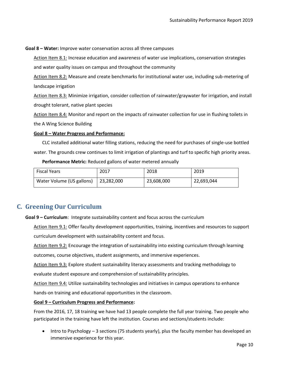**Goal 8 – Water:** Improve water conservation across all three campuses

Action Item 8.1: Increase education and awareness of water use implications, conservation strategies and water quality issues on campus and throughout the community

Action Item 8.2: Measure and create benchmarks for institutional water use, including sub-metering of landscape irrigation

Action Item 8.3: Minimize irrigation, consider collection of rainwater/graywater for irrigation, and install drought tolerant, native plant species

Action Item 8.4: Monitor and report on the impacts of rainwater collection for use in flushing toilets in the A Wing Science Building

#### **Goal 8 – Water Progress and Performance:**

CLC installed additional water filling stations, reducing the need for purchases of single-use bottled water. The grounds crew continues to limit irrigation of plantings and turf to specific high priority areas.

#### **Performance Metric:** Reduced gallons of water metered annually

| <b>Fiscal Years</b>       | 2017       | 2018       | 2019       |
|---------------------------|------------|------------|------------|
| Water Volume (US gallons) | 23,282,000 | 23,608,000 | 22,693,044 |

# **C. Greening Our Curriculum**

**Goal 9 – Curriculum**: Integrate sustainability content and focus across the curriculum

Action Item 9.1: Offer faculty development opportunities, training, incentives and resources to support curriculum development with sustainability content and focus.

Action Item 9.2: Encourage the integration of sustainability into existing curriculum through learning

outcomes, course objectives, student assignments, and immersive experiences.

Action Item 9.3: Explore student sustainability literacy assessments and tracking methodology to

evaluate student exposure and comprehension of sustainability principles.

Action Item 9.4: Utilize sustainability technologies and initiatives in campus operations to enhance

hands-on training and educational opportunities in the classroom.

#### **Goal 9 – Curriculum Progress and Performance:**

From the 2016, 17, 18 training we have had 13 people complete the full year training. Two people who participated in the training have left the institution. Courses and sections/students include:

• Intro to Psychology – 3 sections (75 students yearly), plus the faculty member has developed an immersive experience for this year.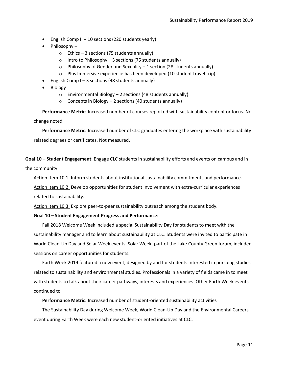- English Comp II 10 sections (220 students yearly)
- Philosophy
	- $\circ$  Ethics 3 sections (75 students annually)
	- $\circ$  Intro to Philosophy 3 sections (75 students annually)
	- $\circ$  Philosophy of Gender and Sexuality 1 section (28 students annually)
	- o Plus Immersive experience has been developed (10 student travel trip).
- English Comp  $I 3$  sections (48 students annually)
- Biology
	- o Environmental Biology 2 sections (48 students annually)
	- $\circ$  Concepts in Biology 2 sections (40 students annually)

**Performance Metric:** Increased number of courses reported with sustainability content or focus. No change noted.

**Performance Metric:** Increased number of CLC graduates entering the workplace with sustainability related degrees or certificates. Not measured.

**Goal 10 – Student Engagement**: Engage CLC students in sustainability efforts and events on campus and in the community

Action Item 10.1: Inform students about institutional sustainability commitments and performance.

Action Item 10.2: Develop opportunities for student involvement with extra-curricular experiences related to sustainability.

Action Item 10.3: Explore peer-to-peer sustainability outreach among the student body.

#### **Goal 10 – Student Engagement Progress and Performance:**

Fall 2018 Welcome Week included a special Sustainability Day for students to meet with the sustainability manager and to learn about sustainability at CLC. Students were invited to participate in World Clean-Up Day and Solar Week events. Solar Week, part of the Lake County Green forum, included sessions on career opportunities for students.

Earth Week 2019 featured a new event, designed by and for students interested in pursuing studies related to sustainability and environmental studies. Professionals in a variety of fields came in to meet with students to talk about their career pathways, interests and experiences. Other Earth Week events continued to

**Performance Metric:** Increased number of student-oriented sustainability activities

The Sustainability Day during Welcome Week, World Clean-Up Day and the Environmental Careers event during Earth Week were each new student-oriented initiatives at CLC.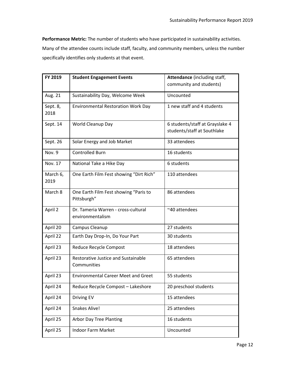**Performance Metric:** The number of students who have participated in sustainability activities. Many of the attendee counts include staff, faculty, and community members, unless the number specifically identifies only students at that event.

| FY 2019          | <b>Student Engagement Events</b>                        | Attendance (including staff,<br>community and students)        |
|------------------|---------------------------------------------------------|----------------------------------------------------------------|
| Aug. 21          | Sustainability Day, Welcome Week                        | Uncounted                                                      |
| Sept. 8,<br>2018 | <b>Environmental Restoration Work Day</b>               | 1 new staff and 4 students                                     |
| Sept. 14         | World Cleanup Day                                       | 6 students/staff at Grayslake 4<br>students/staff at Southlake |
| Sept. 26         | Solar Energy and Job Market                             | 33 attendees                                                   |
| Nov. 9           | <b>Controlled Burn</b>                                  | 16 students                                                    |
| Nov. 17          | National Take a Hike Day                                | 6 students                                                     |
| March 6,<br>2019 | One Earth Film Fest showing "Dirt Rich"                 | 110 attendees                                                  |
| March 8          | One Earth Film Fest showing "Paris to<br>Pittsburgh"    | 86 attendees                                                   |
| April 2          | Dr. Tameria Warren - cross-cultural<br>environmentalism | ~40 attendees                                                  |
| April 20         | Campus Cleanup                                          | 27 students                                                    |
| April 22         | Earth Day Drop-In, Do Your Part                         | 30 students                                                    |
| April 23         | Reduce Recycle Compost                                  | 18 attendees                                                   |
| April 23         | Restorative Justice and Sustainable<br>Communities      | 65 attendees                                                   |
| April 23         | <b>Environmental Career Meet and Greet</b>              | 55 students                                                    |
| April 24         | Reduce Recycle Compost - Lakeshore                      | 20 preschool students                                          |
| April 24         | Driving EV                                              | 15 attendees                                                   |
| April 24         | Snakes Alive!                                           | 25 attendees                                                   |
| April 25         | <b>Arbor Day Tree Planting</b>                          | 16 students                                                    |
| April 25         | <b>Indoor Farm Market</b>                               | Uncounted                                                      |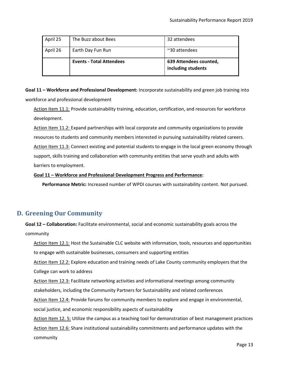| April 25 | The Buzz about Bees             | 32 attendees                                 |
|----------|---------------------------------|----------------------------------------------|
| April 26 | Earth Day Fun Run               | ~30 attendees                                |
|          | <b>Events - Total Attendees</b> | 639 Attendees counted,<br>including students |

**Goal 11 – Workforce and Professional Development:** Incorporate sustainability and green job training into workforce and professional development

Action Item 11.1: Provide sustainability training, education, certification, and resources for workforce development.

Action Item 11.2: Expand partnerships with local corporate and community organizations to provide resources to students and community members interested in pursuing sustainability related careers. Action Item 11.3: Connect existing and potential students to engage in the local green economy through support, skills training and collaboration with community entities that serve youth and adults with barriers to employment.

#### **Goal 11 – Workforce and Professional Development Progress and Performance:**

**Performance Metric:** Increased number of WPDI courses with sustainability content. Not pursued.

# **D. Greening Our Community**

**Goal 12 – Collaboration:** Facilitate environmental, social and economic sustainability goals across the community

Action Item 12.1: Host the Sustainable CLC website with information, tools, resources and opportunities to engage with sustainable businesses, consumers and supporting entities

Action Item 12.2: Explore education and training needs of Lake County community employers that the College can work to address

Action Item 12.3: Facilitate networking activities and informational meetings among community stakeholders, including the Community Partners for Sustainability and related conferences

Action Item 12.4: Provide forums for community members to explore and engage in environmental,

social justice, and economic responsibility aspects of sustainabilit**y**

Action Item 12. 5: Utilize the campus as a teaching tool for demonstration of best management practices Action Item 12.6: Share institutional sustainability commitments and performance updates with the community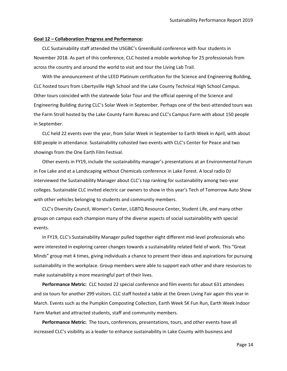#### **Goal 12 – Collaboration Progress and Performance:**

CLC Sustainability staff attended the USGBC's GreenBuild conference with four students in November 2018. As part of this conference, CLC hosted a mobile workshop for 25 professionals from across the country and around the world to visit and tour the Living Lab Trail.

With the announcement of the LEED Platinum certification for the Science and Engineering Building, CLC hosted tours from Libertyville High School and the Lake County Technical High School Campus. Other tours coincided with the statewide Solar Tour and the official opening of the Science and Engineering Building during CLC's Solar Week in September. Perhaps one of the best-attended tours was the Farm Stroll hosted by the Lake County Farm Bureau and CLC's Campus Farm with about 150 people in September.

CLC held 22 events over the year, from Solar Week in September to Earth Week in April, with about 630 people in attendance. Sustainability cohosted two events with CLC's Center for Peace and two showings from the One Earth Film Festival.

Other events in FY19, include the sustainability manager's presentations at an Environmental Forum in Fox Lake and at a Landscaping without Chemicals conference in Lake Forest. A local radio DJ interviewed the Sustainability Manager about CLC's top ranking for sustainability among two-year colleges. Sustainable CLC invited electric car owners to show in this year's Tech of Tomorrow Auto Show with other vehicles belonging to students and community members.

CLC's Diversity Council, Women's Center, LGBTQ Resource Center, Student Life, and many other groups on campus each champion many of the diverse aspects of social sustainability with special events.

In FY19, CLC's Sustainability Manager pulled together eight different mid-level professionals who were interested in exploring career changes towards a sustainability related field of work. This "Great Minds" group met 4 times, giving individuals a chance to present their ideas and aspirations for pursuing sustainability in the workplace. Group members were able to support each other and share resources to make sustainability a more meaningful part of their lives.

**Performance Metric:** CLC hosted 22 special conference and film events for about 631 attendees and six tours for another 299 visitors. CLC staff hosted a table at the Green Living Fair again this year in March. Events such as the Pumpkin Composting Collection, Earth Week 5K Fun Run, Earth Week Indoor Farm Market and attracted students, staff and community members.

**Performance Metric:** The tours, conferences, presentations, tours, and other events have all increased CLC's visibility as a leader to enhance sustainability in Lake County with business and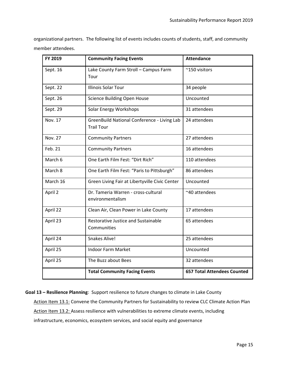organizational partners. The following list of events includes counts of students, staff, and community member attendees.

| FY 2019        | <b>Community Facing Events</b>                                   | <b>Attendance</b>                  |
|----------------|------------------------------------------------------------------|------------------------------------|
| Sept. 16       | Lake County Farm Stroll - Campus Farm<br>Tour                    | $~^{\sim}$ 150 visitors            |
| Sept. 22       | Illinois Solar Tour                                              | 34 people                          |
| Sept. 26       | <b>Science Building Open House</b>                               | Uncounted                          |
| Sept. 29       | Solar Energy Workshops                                           | 31 attendees                       |
| Nov. 17        | GreenBuild National Conference - Living Lab<br><b>Trail Tour</b> | 24 attendees                       |
| <b>Nov. 27</b> | <b>Community Partners</b>                                        | 27 attendees                       |
| Feb. 21        | <b>Community Partners</b>                                        | 16 attendees                       |
| March 6        | One Earth Film Fest: "Dirt Rich"                                 | 110 attendees                      |
| March 8        | One Earth Film Fest: "Paris to Pittsburgh"                       | 86 attendees                       |
| March 16       | Green Living Fair at Libertyville Civic Center                   | Uncounted                          |
| April 2        | Dr. Tameria Warren - cross-cultural<br>environmentalism          | ~40 attendees                      |
| April 22       | Clean Air, Clean Power in Lake County                            | 17 attendees                       |
| April 23       | Restorative Justice and Sustainable<br>Communities               | 65 attendees                       |
| April 24       | Snakes Alive!                                                    | 25 attendees                       |
| April 25       | <b>Indoor Farm Market</b>                                        | Uncounted                          |
| April 25       | The Buzz about Bees                                              | 32 attendees                       |
|                | <b>Total Community Facing Events</b>                             | <b>657 Total Attendees Counted</b> |

**Goal 13 – Resilience Planning**: Support resilience to future changes to climate in Lake County Action Item 13.1: Convene the Community Partners for Sustainability to review CLC Climate Action Plan Action Item 13.2: Assess resilience with vulnerabilities to extreme climate events, including infrastructure, economics, ecosystem services, and social equity and governance